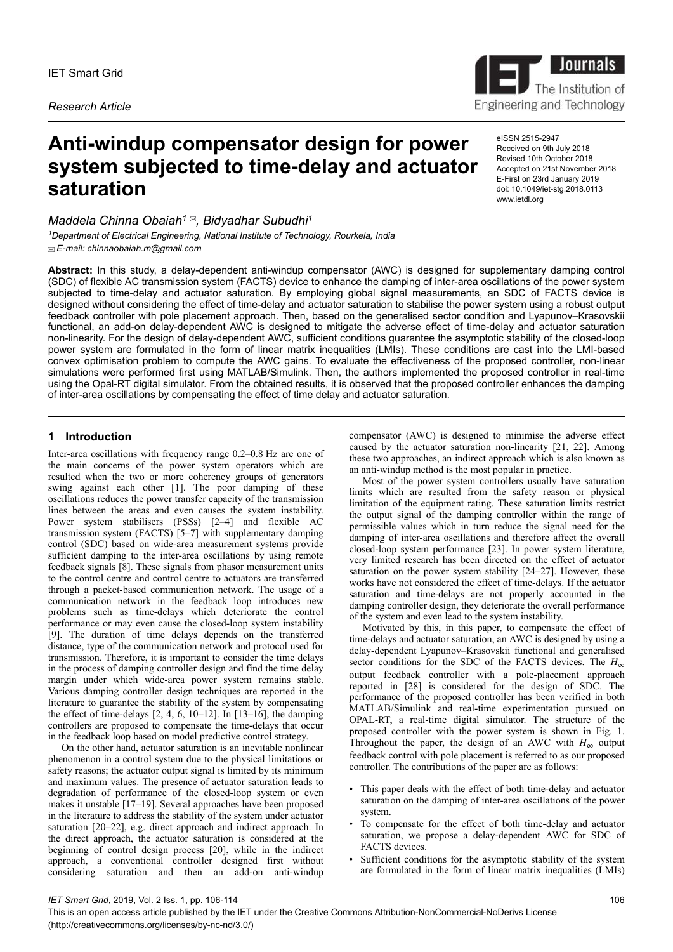*Research Article*

# **Anti-windup compensator design for power system subjected to time-delay and actuator saturation**

*Maddela Chinna Obaiah<sup>1</sup> , Bidyadhar Subudhi<sup>1</sup> <sup>1</sup>Department of Electrical Engineering, National Institute of Technology, Rourkela, India*

 *E-mail: chinnaobaiah.m@gmail.com*

**Abstract:** In this study, a delay-dependent anti-windup compensator (AWC) is designed for supplementary damping control (SDC) of flexible AC transmission system (FACTS) device to enhance the damping of inter-area oscillations of the power system subjected to time-delay and actuator saturation. By employing global signal measurements, an SDC of FACTS device is designed without considering the effect of time-delay and actuator saturation to stabilise the power system using a robust output feedback controller with pole placement approach. Then, based on the generalised sector condition and Lyapunov–Krasovskii functional, an add-on delay-dependent AWC is designed to mitigate the adverse effect of time-delay and actuator saturation non-linearity. For the design of delay-dependent AWC, sufficient conditions guarantee the asymptotic stability of the closed-loop power system are formulated in the form of linear matrix inequalities (LMIs). These conditions are cast into the LMI-based convex optimisation problem to compute the AWC gains. To evaluate the effectiveness of the proposed controller, non-linear simulations were performed first using MATLAB/Simulink. Then, the authors implemented the proposed controller in real-time using the Opal-RT digital simulator. From the obtained results, it is observed that the proposed controller enhances the damping of inter-area oscillations by compensating the effect of time delay and actuator saturation.

# **1** Introduction

Inter-area oscillations with frequency range 0.2–0.8 Hz are one of the main concerns of the power system operators which are resulted when the two or more coherency groups of generators swing against each other [1]. The poor damping of these oscillations reduces the power transfer capacity of the transmission lines between the areas and even causes the system instability. Power system stabilisers (PSSs) [2–4] and flexible AC transmission system (FACTS) [5–7] with supplementary damping control (SDC) based on wide-area measurement systems provide sufficient damping to the inter-area oscillations by using remote feedback signals [8]. These signals from phasor measurement units to the control centre and control centre to actuators are transferred through a packet-based communication network. The usage of a communication network in the feedback loop introduces new problems such as time-delays which deteriorate the control performance or may even cause the closed-loop system instability [9]. The duration of time delays depends on the transferred distance, type of the communication network and protocol used for transmission. Therefore, it is important to consider the time delays in the process of damping controller design and find the time delay margin under which wide-area power system remains stable. Various damping controller design techniques are reported in the literature to guarantee the stability of the system by compensating the effect of time-delays  $[2, 4, 6, 10-12]$ . In  $[13-16]$ , the damping controllers are proposed to compensate the time-delays that occur in the feedback loop based on model predictive control strategy.

On the other hand, actuator saturation is an inevitable nonlinear phenomenon in a control system due to the physical limitations or safety reasons; the actuator output signal is limited by its minimum and maximum values. The presence of actuator saturation leads to degradation of performance of the closed-loop system or even makes it unstable [17–19]. Several approaches have been proposed in the literature to address the stability of the system under actuator saturation [20–22], e.g. direct approach and indirect approach. In the direct approach, the actuator saturation is considered at the beginning of control design process [20], while in the indirect approach, a conventional controller designed first without considering saturation and then an add-on anti-windup

compensator (AWC) is designed to minimise the adverse effect caused by the actuator saturation non-linearity [21, 22]. Among these two approaches, an indirect approach which is also known as an anti-windup method is the most popular in practice.

Most of the power system controllers usually have saturation limits which are resulted from the safety reason or physical limitation of the equipment rating. These saturation limits restrict the output signal of the damping controller within the range of permissible values which in turn reduce the signal need for the damping of inter-area oscillations and therefore affect the overall closed-loop system performance [23]. In power system literature, very limited research has been directed on the effect of actuator saturation on the power system stability [24–27]. However, these works have not considered the effect of time-delays. If the actuator saturation and time-delays are not properly accounted in the damping controller design, they deteriorate the overall performance of the system and even lead to the system instability.

Motivated by this, in this paper, to compensate the effect of time-delays and actuator saturation, an AWC is designed by using a delay-dependent Lyapunov–Krasovskii functional and generalised sector conditions for the SDC of the FACTS devices. The  $H_{\infty}$ output feedback controller with a pole-placement approach reported in [28] is considered for the design of SDC. The performance of the proposed controller has been verified in both MATLAB/Simulink and real-time experimentation pursued on OPAL-RT, a real-time digital simulator. The structure of the proposed controller with the power system is shown in Fig. 1. Throughout the paper, the design of an AWC with  $H_{\infty}$  output feedback control with pole placement is referred to as our proposed controller. The contributions of the paper are as follows:

- This paper deals with the effect of both time-delay and actuator saturation on the damping of inter-area oscillations of the power system.
- To compensate for the effect of both time-delay and actuator saturation, we propose a delay-dependent AWC for SDC of FACTS devices.
- Sufficient conditions for the asymptotic stability of the system are formulated in the form of linear matrix inequalities (LMIs)

*IET Smart Grid*, 2019, Vol. 2 Iss. 1, pp. 106-114

eISSN 2515-2947 Received on 9th July 2018 Revised 10th October 2018 Accepted on 21st November 2018 E-First on 23rd January 2019 doi: 10.1049/iet-stg.2018.0113 www.ietdl.org

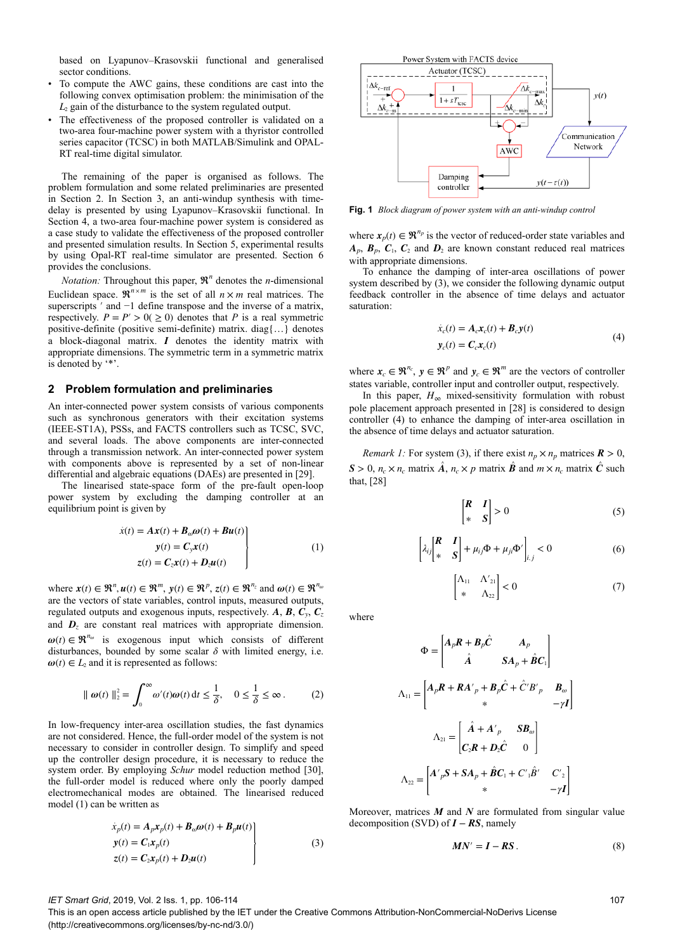based on Lyapunov–Krasovskii functional and generalised sector conditions.

- To compute the AWC gains, these conditions are cast into the following convex optimisation problem: the minimisation of the *L*2 gain of the disturbance to the system regulated output.
- The effectiveness of the proposed controller is validated on a two-area four-machine power system with a thyristor controlled series capacitor (TCSC) in both MATLAB/Simulink and OPAL-RT real-time digital simulator.

The remaining of the paper is organised as follows. The problem formulation and some related preliminaries are presented in Section 2. In Section 3, an anti-windup synthesis with timedelay is presented by using Lyapunov–Krasovskii functional. In Section 4, a two-area four-machine power system is considered as a case study to validate the effectiveness of the proposed controller and presented simulation results. In Section 5, experimental results by using Opal-RT real-time simulator are presented. Section 6 provides the conclusions.

*Notation:* Throughout this paper,  $\mathbb{R}^n$  denotes the *n*-dimensional Euclidean space.  $\mathbb{R}^{n \times m}$  is the set of all  $n \times m$  real matrices. The superscripts<sup>'</sup> and −1 define transpose and the inverse of a matrix, respectively.  $P = P' > 0 \ge 0$  denotes that *P* is a real symmetric positive-definite (positive semi-definite) matrix. diag{…} denotes a block-diagonal matrix. *I* denotes the identity matrix with appropriate dimensions. The symmetric term in a symmetric matrix is denoted by '\*'.

# **2Problem formulation and preliminaries**

An inter-connected power system consists of various components such as synchronous generators with their excitation systems (IEEE-ST1A), PSSs, and FACTS controllers such as TCSC, SVC, and several loads. The above components are inter-connected through a transmission network. An inter-connected power system with components above is represented by a set of non-linear differential and algebraic equations (DAEs) are presented in [29].

The linearised state-space form of the pre-fault open-loop power system by excluding the damping controller at an equilibrium point is given by

$$
\dot{x}(t) = A x(t) + B_{\omega} \omega(t) + B u(t)
$$
  
\n
$$
y(t) = C_y x(t)
$$
  
\n
$$
z(t) = C_z x(t) + D_z u(t)
$$
\n(1)

where  $\mathbf{x}(t) \in \mathbb{R}^n, \mathbf{u}(t) \in \mathbb{R}^m, \mathbf{y}(t) \in \mathbb{R}^p, \mathbf{z}(t) \in \mathbb{R}^{n_z}$  and  $\boldsymbol{\omega}(t) \in \mathbb{R}^{n_w}$ are the vectors of state variables, control inputs, measured outputs, regulated outputs and exogenous inputs, respectively. *A*, *B*, *C<sup>y</sup>* , *C<sup>z</sup>* and  $D<sub>z</sub>$  are constant real matrices with appropriate dimension.  $\omega(t) \in \mathbb{R}^{n_{\omega}}$  is exogenous input which consists of different disturbances, bounded by some scalar  $\delta$  with limited energy, i.e.  $\omega(t) \in L_2$  and it is represented as follows:

$$
\|\boldsymbol{\omega}(t)\|_{2}^{2} = \int_{0}^{\infty} \omega'(t)\boldsymbol{\omega}(t) dt \le \frac{1}{\delta}, \quad 0 \le \frac{1}{\delta} \le \infty.
$$
 (2)

In low-frequency inter-area oscillation studies, the fast dynamics are not considered. Hence, the full-order model of the system is not necessary to consider in controller design. To simplify and speed up the controller design procedure, it is necessary to reduce the system order. By employing *Schur* model reduction method [30], the full-order model is reduced where only the poorly damped electromechanical modes are obtained. The linearised reduced model (1) can be written as

$$
\dot{x}_p(t) = A_p x_p(t) + B_\omega \omega(t) + B_p u(t)
$$
  
\n
$$
y(t) = C_1 x_p(t)
$$
  
\n
$$
z(t) = C_2 x_p(t) + D_2 u(t)
$$
\n(3)



**Fig. 1** *Block diagram of power system with an anti-windup control*

where  $\mathbf{x}_p(t) \in \mathbb{R}^{n_p}$  is the vector of reduced-order state variables and  $A_p$ ,  $B_p$ ,  $C_1$ ,  $C_2$  and  $D_2$  are known constant reduced real matrices with appropriate dimensions.

To enhance the damping of inter-area oscillations of power system described by  $(3)$ , we consider the following dynamic output feedback controller in the absence of time delays and actuator saturation:

$$
\dot{x}_c(t) = A_c \mathbf{x}_c(t) + B_c \mathbf{y}(t)
$$
  
\n
$$
\mathbf{y}_c(t) = \mathbf{C}_c \mathbf{x}_c(t)
$$
\n(4)

where  $\mathbf{x}_c \in \mathbb{R}^{n_c}$ ,  $\mathbf{y} \in \mathbb{R}^p$  and  $\mathbf{y}_c \in \mathbb{R}^m$  are the vectors of controller states variable, controller input and controller output, respectively.

In this paper,  $H_{\infty}$  mixed-sensitivity formulation with robust pole placement approach presented in [28] is considered to design controller (4) to enhance the damping of inter-area oscillation in the absence of time delays and actuator saturation.

*Remark 1:* For system (3), if there exist  $n_p \times n_p$  matrices  $\mathbf{R} > 0$ ,  $S > 0$ ,  $n_c \times n_c$  matrix  $\hat{A}$ ,  $n_c \times p$  matrix  $\hat{B}$  and  $m \times n_c$  matrix  $\hat{C}$  such that, [28]

$$
\begin{bmatrix} R & I \\ * & S \end{bmatrix} > 0 \tag{5}
$$

$$
\left[\lambda_{ij}\begin{bmatrix} R & I \\ * & S \end{bmatrix} + \mu_{ij}\Phi + \mu_{ji}\Phi'\right]_{i,j} < 0
$$
 (6)

$$
\begin{bmatrix} \Lambda_{11} & \Lambda'_{21} \\ * & \Lambda_{22} \end{bmatrix} < 0 \tag{7}
$$

where

$$
\Phi = \begin{bmatrix} A_p R + B_p \hat{C} & A_p \\ \hat{A} & SA_p + \hat{B} C_1 \end{bmatrix}
$$

$$
\Lambda_{11} = \begin{bmatrix} A_p R + R A'_{p} + B_p \hat{C} + \hat{C}' B'_{p} & B_{\omega} \\ * & -\gamma I \end{bmatrix}
$$

$$
\Lambda_{21} = \begin{bmatrix} \hat{A} + A'_{p} & S B_{\omega} \\ C_2 R + D_2 \hat{C} & 0 \end{bmatrix}
$$

$$
\Lambda_{22} = \begin{bmatrix} A'_{p} S + S A_{p} + \hat{B} C_1 + C'_{1} \hat{B}' & C'_{2} \\ * & -\gamma I \end{bmatrix}
$$

Moreover, matrices *M* and *N* are formulated from singular value decomposition (SVD) of *I* − *RS*, namely

$$
MN' = I - RS. \tag{8}
$$

#### *IET Smart Grid*, 2019, Vol. 2 Iss. 1, pp. 106-114

This is an open access article published by the IET under the Creative Commons Attribution-NonCommercial-NoDerivs License (http://creativecommons.org/licenses/by-nc-nd/3.0/)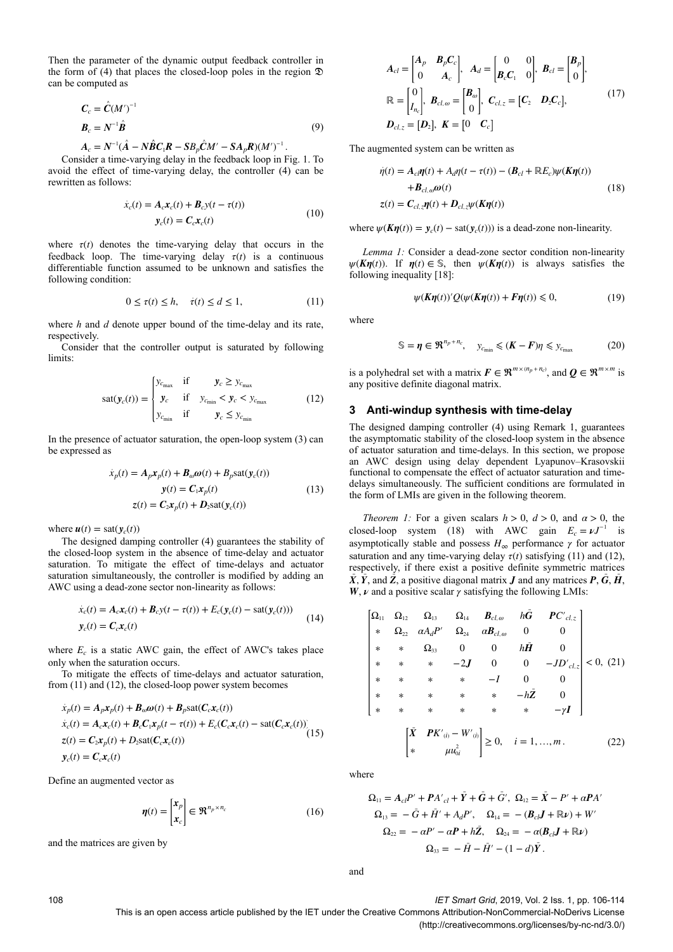Then the parameter of the dynamic output feedback controller in the form of (4) that places the closed-loop poles in the region  $\mathfrak D$ can be computed as

$$
\mathbf{C}_c = \hat{\mathbf{C}} (M')^{-1}
$$
  

$$
\mathbf{B}_c = N^{-1} \hat{\mathbf{B}}
$$
 (9)

$$
A_c = N^{-1}(\hat{A} - N\hat{B}C_1R - SB_p\hat{C}M' - SA_pR)(M')^{-1}.
$$

Consider a time-varying delay in the feedback loop in Fig. 1. To avoid the effect of time-varying delay, the controller (4) can be rewritten as follows:

$$
\dot{x}_c(t) = A_c x_c(t) + B_c y(t - \tau(t))
$$
  
\n
$$
y_c(t) = C_c x_c(t)
$$
\n(10)

where  $\tau(t)$  denotes the time-varying delay that occurs in the feedback loop. The time-varying delay  $\tau(t)$  is a continuous differentiable function assumed to be unknown and satisfies the following condition:

$$
0 \le \tau(t) \le h, \quad \dot{\tau}(t) \le d \le 1,\tag{11}
$$

where *h* and *d* denote upper bound of the time-delay and its rate, respectively.

Consider that the controller output is saturated by following limits:

$$
sat(y_c(t)) = \begin{cases} y_{c_{\text{max}}} & \text{if } y_c \ge y_{c_{\text{max}}} \\ y_c & \text{if } y_{c_{\text{min}}} < y_c < y_{c_{\text{max}}} \\ y_{c_{\text{min}}} & \text{if } y_c \le y_{c_{\text{min}}} \end{cases} \tag{12}
$$

In the presence of actuator saturation, the open-loop system (3) can be expressed as

$$
\dot{x}_p(t) = A_p x_p(t) + B_{\omega} \omega(t) + B_p \text{sat}(y_c(t))
$$
  

$$
y(t) = C_1 x_p(t)
$$
  

$$
z(t) = C_2 x_p(t) + D_2 \text{sat}(y_c(t))
$$
 (13)

where  $u(t) = \text{sat}(y_c(t))$ 

The designed damping controller (4) guarantees the stability of the closed-loop system in the absence of time-delay and actuator saturation. To mitigate the effect of time-delays and actuator saturation simultaneously, the controller is modified by adding an AWC using a dead-zone sector non-linearity as follows:

$$
\dot{x}_c(t) = A_c x_c(t) + B_c y(t - \tau(t)) + E_c(y_c(t) - \text{sat}(y_c(t)))
$$
\n
$$
y_c(t) = C_c x_c(t) \tag{14}
$$

where  $E_c$  is a static AWC gain, the effect of AWC's takes place only when the saturation occurs.

To mitigate the effects of time-delays and actuator saturation, from (11) and (12), the closed-loop power system becomes

$$
\dot{x}_p(t) = A_p \mathbf{x}_p(t) + B_{\omega} \omega(t) + B_p \text{sat}(C_c \mathbf{x}_c(t))
$$
\n
$$
\dot{x}_c(t) = A_c \mathbf{x}_c(t) + B_c C_1 \mathbf{x}_p(t - \tau(t)) + E_c (C_c \mathbf{x}_c(t) - \text{sat}(C_c \mathbf{x}_c(t)))
$$
\n
$$
z(t) = C_2 \mathbf{x}_p(t) + D_2 \text{sat}(C_c \mathbf{x}_c(t))
$$
\n
$$
y_c(t) = C_c \mathbf{x}_c(t)
$$
\n(15)

Define an augmented vector as

$$
\boldsymbol{\eta}(t) = \begin{bmatrix} x_p \\ x_c \end{bmatrix} \in \mathfrak{R}^{n_p \times n_c}
$$
 (16)

and the matrices are given by

$$
A_{cl} = \begin{bmatrix} A_p & B_p C_c \\ 0 & A_c \end{bmatrix}, A_d = \begin{bmatrix} 0 & 0 \\ B_c C_1 & 0 \end{bmatrix}, B_{cl} = \begin{bmatrix} B_p \\ 0 \end{bmatrix},
$$
  

$$
\mathbb{R} = \begin{bmatrix} 0 \\ I_{n_c} \end{bmatrix}, B_{cl, \omega} = \begin{bmatrix} B_{\omega} \\ 0 \end{bmatrix}, C_{cl, z} = \begin{bmatrix} C_2 & D_2 C_c \end{bmatrix},
$$
  

$$
D_{cl, z} = [D_z], K = \begin{bmatrix} 0 & C_c \end{bmatrix}
$$
 (17)

The augmented system can be written as

$$
\dot{\eta}(t) = A_{cl}\eta(t) + A_d\eta(t - \tau(t)) - (B_{cl} + \mathbb{R}E_c)\psi(K\eta(t))
$$
  
+ 
$$
B_{cl, \omega}\omega(t)
$$
  

$$
z(t) = C_{cl, z}\eta(t) + D_{cl, z}\psi(K\eta(t))
$$
\n(18)

where  $\psi(K\eta(t)) = y_c(t) - \text{sat}(y_c(t))$  is a dead-zone non-linearity.

*Lemma 1:* Consider a dead-zone sector condition non-linearity *ψ*(*Kη*(*t*)). If *η*(*t*) ∈ S, then *ψ*(*Kη*(*t*)) is always satisfies the following inequality [18]:

$$
\psi(K\eta(t))'Q(\psi(K\eta(t)) + F\eta(t)) \leq 0,
$$
\n(19)

where

$$
\mathbb{S} = \eta \in \mathfrak{R}^{n_p + n_c}, \quad y_{c_{\min}} \leqslant (K - F)\eta \leqslant y_{c_{\max}} \tag{20}
$$

is a polyhedral set with a matrix  $F \in \mathbb{R}^{m \times (n_p + n_c)}$ , and  $Q \in \mathbb{R}^{m \times m}$  is any positive definite diagonal matrix.

## **3Anti-windup synthesis with time-delay**

The designed damping controller (4) using Remark 1, guarantees the asymptomatic stability of the closed-loop system in the absence of actuator saturation and time-delays. In this section, we propose an AWC design using delay dependent Lyapunov–Krasovskii functional to compensate the effect of actuator saturation and timedelays simultaneously. The sufficient conditions are formulated in the form of LMIs are given in the following theorem.

*Theorem 1:* For a given scalars  $h > 0$ ,  $d > 0$ , and  $\alpha > 0$ , the closed-loop system (18) with AWC gain  $E_c = vJ^{-1}$  is asymptotically stable and possess  $H_{\infty}$  performance  $\gamma$  for actuator saturation and any time-varying delay  $\tau(t)$  satisfying (11) and (12), respectively, if there exist a positive definite symmetric matrices  $\overline{X}$ ,  $\overline{Y}$ , and  $\overline{Z}$ , a positive diagonal matrix *J* and any matrices *P*,  $\overline{G}$ ,  $\overline{H}$ , *W*, *ν* and a positive scalar *γ* satisfying the following LMIs:

$$
\begin{vmatrix}\n\Omega_{11} & \Omega_{12} & \Omega_{13} & \Omega_{14} & B_{cl,\omega} & h\bar{G} & PC'_{cl,z} \\
* & \Omega_{22} & \alpha A_d P' & \Omega_{24} & \alpha B_{cl,\omega} & 0 & 0 \\
* & * & \Omega_{33} & 0 & 0 & h\bar{H} & 0 \\
* & * & * & -2J & 0 & 0 & -JD'_{cl,z} \\
* & * & * & * & -I & 0 & 0 \\
* & * & * & * & * & -h\bar{Z} & 0 \\
* & * & * & * & * & * & -\gamma I\n\end{vmatrix} < 0, (21)
$$
\n
$$
\begin{vmatrix}\n\bar{X} & P K'_{(i)} - W'_{(i)} \\
* & \mu u_{0i}^{(i)}\n\end{vmatrix} \geq 0, \quad i = 1, ..., m.
$$
 (22)

where

$$
\Omega_{11} = A_{cl}P' + PA'_{cl} + \overline{Y} + \overline{G} + \overline{G}', \ \Omega_{12} = \overline{X} - P' + \alpha PA'
$$
  
\n
$$
\Omega_{13} = -\overline{G} + \overline{H}' + A_dP', \quad \Omega_{14} = -(B_{cl}J + \mathbb{R}\nu) + W'
$$
  
\n
$$
\Omega_{22} = -\alpha P' - \alpha P + h\overline{Z}, \quad \Omega_{24} = -\alpha (B_{cl}J + \mathbb{R}\nu)
$$
  
\n
$$
\Omega_{23} = -\overline{H} - \overline{H}' - (1 - d)\overline{Y}.
$$

and

108 *IET Smart Grid*, 2019, Vol. 2 Iss. 1, pp. 106-114

(http://creativecommons.org/licenses/by-nc-nd/3.0/)

This is an open access article published by the IET under the Creative Commons Attribution-NonCommercial-NoDerivs License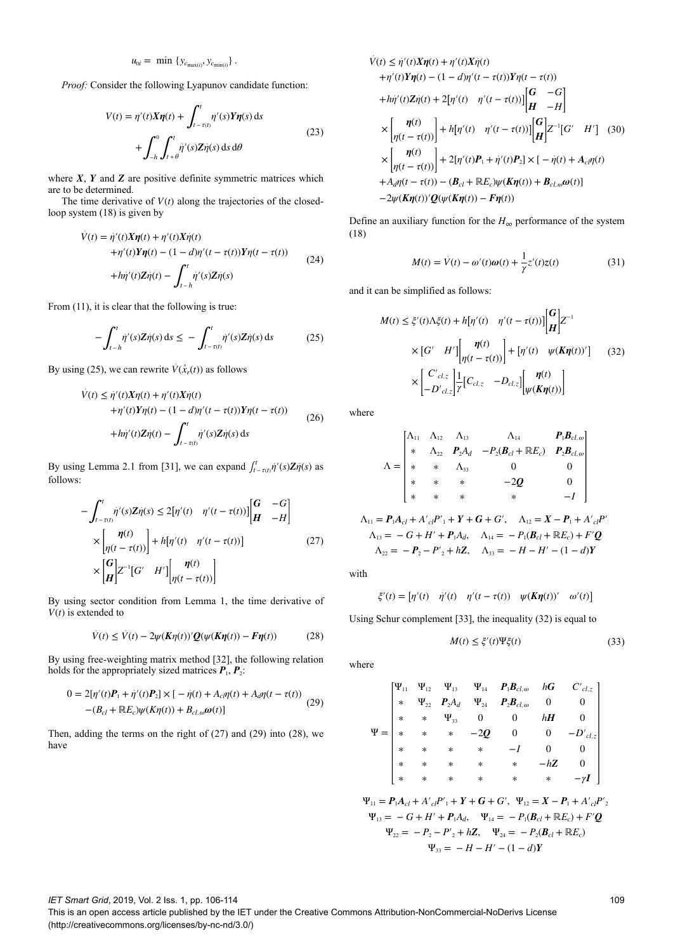$$
u_{0i} = \min \{ y_{c_{\max(i)}}, y_{c_{\min(i)}} \}.
$$

*Proof:* Consider the following Lyapunov candidate function:

$$
V(t) = \eta'(t)X\eta(t) + \int_{t-\tau(t)}^{t} \eta'(s)Y\eta(s) ds
$$
  
+ 
$$
\int_{-h}^{0} \int_{t+\theta}^{t} \dot{\eta}'(s)Z\dot{\eta}(s) ds d\theta
$$
 (23)

where  $X$ ,  $Y$  and  $Z$  are positive definite symmetric matrices which are to be determined.

The time derivative of  $V(t)$  along the trajectories of the closedloop system (18) is given by

$$
\dot{V}(t) = \dot{\eta}'(t)X\eta(t) + \eta'(t)X\dot{\eta}(t) \n+ \eta'(t)Y\eta(t) - (1 - d)\eta'(t - \tau(t))Y\eta(t - \tau(t)) \n+ h\dot{\eta}'(t)Z\dot{\eta}(t) - \int_{t-h}^{t} \dot{\eta}'(s)Z\dot{\eta}(s)
$$
\n(24)

From  $(11)$ , it is clear that the following is true:

$$
-\int_{t-h}^{t} \dot{\eta}'(s) Z \dot{\eta}(s) ds \leq -\int_{t-\tau(t)}^{t} \dot{\eta}'(s) Z \dot{\eta}(s) ds \qquad (25)
$$

By using (25), we can rewrite  $V(\hat{x}_r(t))$  as follows

$$
\dot{V}(t) \leq \dot{\eta}'(t)X\eta(t) + \eta'(t)X\dot{\eta}(t) \n+ \eta'(t)Y\eta(t) - (1 - d)\eta'(t - \tau(t))Y\eta(t - \tau(t)) \n+ h\dot{\eta}'(t)Z\dot{\eta}(t) - \int_{t-\tau(t)}^{t} \dot{\eta}'(s)Z\dot{\eta}(s) ds
$$
\n(26)

By using Lemma 2.1 from [31], we can expand  $\int_{t-\tau(t)}^{t} \dot{\eta}'(s) \mathbf{Z} \dot{\eta}(s)$  as follows:

$$
-\int_{t-\tau(t)}^{t} \dot{\eta}'(s) Z \dot{\eta}(s) \le 2[\eta'(t) \quad \eta'(t-\tau(t))] \begin{bmatrix} G & -G \\ H & -H \end{bmatrix}
$$

$$
\times \begin{bmatrix} \eta(t) \\ \eta(t-\tau(t)) \end{bmatrix} + h[\eta'(t) \quad \eta'(t-\tau(t))] \qquad (27)
$$

$$
\times \begin{bmatrix} G \\ H \end{bmatrix} Z^{-1} [G' \quad H'] \begin{bmatrix} \eta(t) \\ \eta(t-\tau(t)) \end{bmatrix}
$$

By using sector condition from Lemma 1, the time derivative of  $V(t)$  is extended to

$$
\dot{V}(t) \le \dot{V}(t) - 2\psi(K\eta(t))'\mathcal{Q}(\psi(K\eta(t)) - F\eta(t))
$$
\n(28)

By using free-weighting matrix method [32], the following relation holds for the appropriately sized matrices  $P_1$ ,  $P_2$ :

$$
0 = 2[\eta'(t)P_1 + \dot{\eta}'(t)P_2] \times [-\dot{\eta}(t) + A_c \eta(t) + A_d \eta(t - \tau(t))
$$
  
-(B<sub>cl</sub> + \mathbb{R}E<sub>c</sub>) $\psi(K\eta(t)) + B_{cl,\omega}\omega(t)$ ] (29)

Then, adding the terms on the right of (27) and (29) into (28), we have

$$
\dot{V}(t) \leq \dot{\eta}'(t)X\eta(t) + \eta'(t)X\dot{\eta}(t) \n+ \eta'(t)Y\eta(t) - (1 - d)\eta'(t - \tau(t))Y\eta(t - \tau(t)) \n+ h\dot{\eta}'(t)Z\dot{\eta}(t) + 2[\eta'(t) - \eta'(t - \tau(t))] \begin{bmatrix} G & -G \\ H & -H \end{bmatrix} \n\times \begin{bmatrix} \eta(t) \\ \eta(t - \tau(t)) \end{bmatrix} + h[\eta'(t) - \eta'(t - \tau(t))] \begin{bmatrix} G \\ H \end{bmatrix} Z^{-1}[G' - H'] \quad (30) \n\times \begin{bmatrix} \eta(t) \\ \eta(t - \tau(t)) \end{bmatrix} + 2[\eta'(t)P_1 + \dot{\eta}'(t)P_2] \times [-\dot{\eta}(t) + A_c\eta(t) \n+ A_d\eta(t - \tau(t)) - (B_{cl} + \mathbb{R}E_c)\psi(K\eta(t)) + B_{cl,\omega}\omega(t)] \n- 2\psi(K\eta(t))'Q(\psi(K\eta(t)) - F\eta(t))
$$

Define an auxiliary function for the  $H_{\infty}$  performance of the system (18)

$$
M(t) = \dot{V}(t) - \omega'(t)\omega(t) + \frac{1}{\gamma}z'(t)z(t)
$$
\n(31)

and it can be simplified as follows:

$$
M(t) \leq \xi'(t)\Lambda \xi(t) + h[\eta'(t) \quad \eta'(t - \tau(t))] \begin{bmatrix} G \\ H \end{bmatrix} Z^{-1}
$$

$$
\times \begin{bmatrix} G' & H' \end{bmatrix} \begin{bmatrix} \eta(t) \\ \eta(t - \tau(t)) \end{bmatrix} + \begin{bmatrix} \eta'(t) & \psi(K\eta(t))' \end{bmatrix} \quad (32)
$$

$$
\times \begin{bmatrix} C'_{cl,z} \\ -D'_{cl,z} \end{bmatrix} \frac{1}{\gamma} \begin{bmatrix} C_{cl,z} & -D_{cl,z} \end{bmatrix} \begin{bmatrix} \eta(t) \\ \psi(K\eta(t)) \end{bmatrix}
$$

where

$$
\Lambda = \begin{bmatrix}\n\Lambda_{11} & \Lambda_{12} & \Lambda_{13} & \Lambda_{14} & P_1 B_{cl,\omega} \\
\ast & \Lambda_{22} & P_2 A_d & -P_2(B_{cl} + \mathbb{R}E_c) & P_2 B_{cl,\omega} \\
\ast & \ast & \Lambda_{33} & 0 & 0 \\
\ast & \ast & \ast & -2Q & 0 \\
\ast & \ast & \ast & \ast & -I\n\end{bmatrix}
$$

$$
\Lambda_{11} = P_1 A_{cl} + A'_{cl} P'_{1} + Y + G + G', \quad \Lambda_{12} = X - P_1 + A'_{cl} P'_{1}
$$
  
\n
$$
\Lambda_{13} = -G + H' + P_1 A_d, \quad \Lambda_{14} = -P_1 (\mathcal{B}_{cl} + \mathbb{R} E_c) + F' \mathcal{Q}
$$
  
\n
$$
\Lambda_{22} = -P_2 - P'_{2} + h \mathcal{Z}, \quad \Lambda_{33} = -H - H' - (1 - d) \mathcal{Y}
$$

with

$$
\xi'(t) = \begin{bmatrix} \eta'(t) & \dot{\eta}'(t) & \eta'(t - \tau(t)) & \psi(K\eta(t))' & \omega'(t) \end{bmatrix}
$$

Using Schur complement [33], the inequality (32) is equal to

$$
M(t) \le \xi'(t)\Psi\xi(t) \tag{33}
$$

where

$$
\Psi = \begin{bmatrix}\n\Psi_{11} & \Psi_{12} & \Psi_{13} & \Psi_{14} & P_1B_{cl,\omega} & hG & C'_{cl,z} \\
\ast & \Psi_{22} & P_2A_d & \Psi_{24} & P_2B_{cl,\omega} & 0 & 0 \\
\ast & \ast & \Psi_{33} & 0 & 0 & hH & 0 \\
\ast & \ast & \ast & -2Q & 0 & 0 & -D'_{cl,z} \\
\ast & \ast & \ast & \ast & -I & 0 & 0 \\
\ast & \ast & \ast & \ast & \ast & -hZ & 0 \\
\ast & \ast & \ast & \ast & \ast & \ast & -\gamma I\n\end{bmatrix}
$$

$$
\Psi_{11} = P_1 A_{cl} + A'_{cl} P'_1 + Y + G + G', \quad \Psi_{12} = X - P_1 + A'_{cl} P'_2
$$
  
\n
$$
\Psi_{13} = -G + H' + P_1 A_d, \quad \Psi_{14} = -P_1 (B_{cl} + \mathbb{R} E_c) + F' Q
$$
  
\n
$$
\Psi_{22} = -P_2 - P'_2 + hZ, \quad \Psi_{24} = -P_2 (B_{cl} + \mathbb{R} E_c)
$$
  
\n
$$
\Psi_{33} = -H - H' - (1 - d)Y
$$

*IET Smart Grid*, 2019, Vol. 2 Iss. 1, pp. 106-114

This is an open access article published by the IET under the Creative Commons Attribution-NonCommercial-NoDerivs License (http://creativecommons.org/licenses/by-nc-nd/3.0/)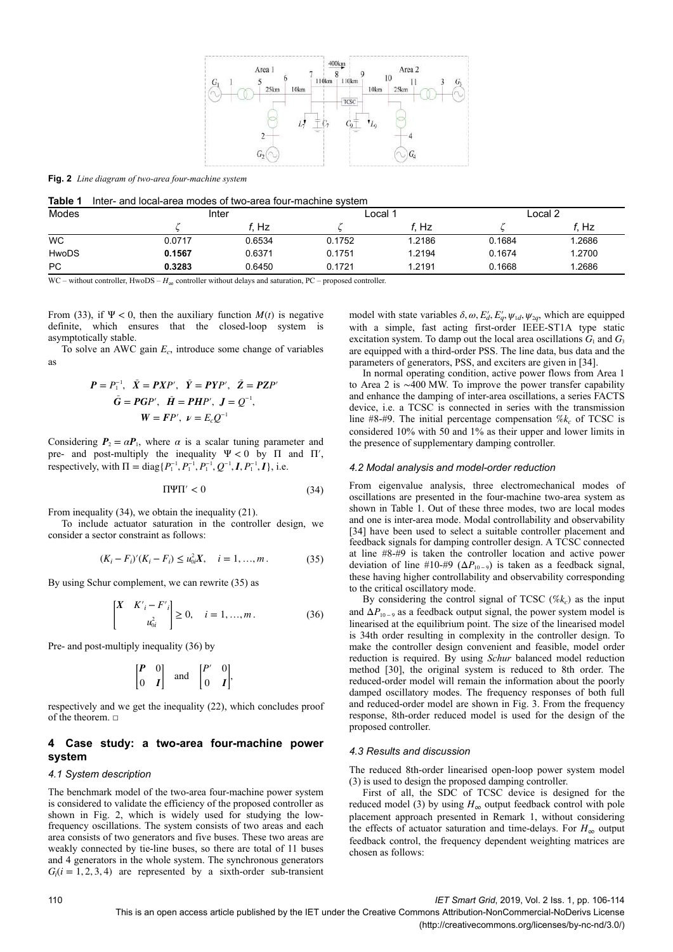

**Fig. 2** *Line diagram of two-area four-machine system*

| Modes     | Inter  |        | $\text{\textsterling}$ $\text{\textsterling}$ $\text{\textsterling}$ |        | Local 2 |        |
|-----------|--------|--------|----------------------------------------------------------------------|--------|---------|--------|
|           |        | Hz     |                                                                      | f. Hz  |         | Hz     |
| <b>WC</b> | 0.0717 | 0.6534 | 0.1752                                                               | 1.2186 | 0.1684  | 1.2686 |
| HwoDS     | 0.1567 | 0.6371 | 0.1751                                                               | 1.2194 | 0.1674  | 1.2700 |
| <b>PC</b> | 0.3283 | 0.6450 | 0.1721                                                               | 1.2191 | 0.1668  | 1.2686 |

WC – without controller, HwoDS – *H*∞ controller without delays and saturation, PC – proposed controller.

From (33), if  $\Psi < 0$ , then the auxiliary function  $M(t)$  is negative definite, which ensures that the closed-loop system is asymptotically stable.

To solve an AWC gain *E<sup>c</sup>* , introduce some change of variables as

$$
P = P_1^{-1}, \quad \bar{X} = PXP', \quad \bar{Y} = PYP', \quad \bar{Z} = PZP'
$$
  

$$
\bar{G} = PGP', \quad \bar{H} = PHP', \quad J = Q^{-1},
$$
  

$$
W = FP', \quad \nu = E_0 Q^{-1}
$$

Considering  $P_2 = \alpha P_1$ , where  $\alpha$  is a scalar tuning parameter and pre- and post-multiply the inequality  $\Psi < 0$  by  $\Pi$  and  $\Pi'$ . respectively, with  $\Pi = \text{diag}\{P_1^{-1}, P_1^{-1}, P_1^{-1}, Q^{-1}, I, P_1^{-1}, I\}$ , i.e.

$$
\Pi \Psi \Pi' < 0 \tag{34}
$$

From inequality (34), we obtain the inequality (21).

To include actuator saturation in the controller design, we consider a sector constraint as follows:

$$
(K_i - F_i)'(K_i - F_i) \le u_{0i}^2 X, \quad i = 1, ..., m. \tag{35}
$$

By using Schur complement, we can rewrite (35) as

$$
\begin{bmatrix} X & K'i - F'i \\ u_{0i}^2 \end{bmatrix} \ge 0, \quad i = 1, ..., m.
$$
 (36)

Pre- and post-multiply inequality (36) by

$$
\begin{bmatrix} P & 0 \\ 0 & I \end{bmatrix} \quad \text{and} \quad \begin{bmatrix} P' & 0 \\ 0 & I \end{bmatrix},
$$

respectively and we get the inequality (22), which concludes proof of the theorem. □

# **4Case study: a two-area four-machine power system**

### *4.1 System description*

The benchmark model of the two-area four-machine power system is considered to validate the efficiency of the proposed controller as shown in Fig. 2, which is widely used for studying the lowfrequency oscillations. The system consists of two areas and each area consists of two generators and five buses. These two areas are weakly connected by tie-line buses, so there are total of 11 buses and 4 generators in the whole system. The synchronous generators  $G_i$ ( $i = 1, 2, 3, 4$ ) are represented by a sixth-order sub-transient

model with state variables  $\delta$ ,  $\omega$ ,  $E'_d$ ,  $E'_q$ ,  $\psi_{1d}$ ,  $\psi_{2q}$ , which are equipped with a simple, fast acting first-order IEEE-ST1A type static excitation system. To damp out the local area oscillations  $G_1$  and  $G_3$ are equipped with a third-order PSS. The line data, bus data and the parameters of generators, PSS, and exciters are given in [34].

In normal operating condition, active power flows from Area 1 to Area 2 is ∼400 MW. To improve the power transfer capability and enhance the damping of inter-area oscillations, a series FACTS device, i.e. a TCSC is connected in series with the transmission line  $#8.+#9$ . The initial percentage compensation  $%k_c$  of TCSC is considered 10% with 50 and 1% as their upper and lower limits in the presence of supplementary damping controller.

#### *4.2 Modal analysis and model-order reduction*

From eigenvalue analysis, three electromechanical modes of oscillations are presented in the four-machine two-area system as shown in Table 1. Out of these three modes, two are local modes and one is inter-area mode. Modal controllability and observability [34] have been used to select a suitable controller placement and feedback signals for damping controller design. A TCSC connected at line #8-#9 is taken the controller location and active power deviation of line #10-#9 ( $\Delta P_{10-9}$ ) is taken as a feedback signal, these having higher controllability and observability corresponding to the critical oscillatory mode.

By considering the control signal of TCSC  $(\% k_c)$  as the input and  $\Delta P_{10-9}$  as a feedback output signal, the power system model is linearised at the equilibrium point. The size of the linearised model is 34th order resulting in complexity in the controller design. To make the controller design convenient and feasible, model order reduction is required. By using *Schur* balanced model reduction method [30], the original system is reduced to 8th order. The reduced-order model will remain the information about the poorly damped oscillatory modes. The frequency responses of both full and reduced-order model are shown in Fig. 3. From the frequency response, 8th-order reduced model is used for the design of the proposed controller.

## *4.3 Results and discussion*

The reduced 8th-order linearised open-loop power system model (3) is used to design the proposed damping controller.

First of all, the SDC of TCSC device is designed for the reduced model (3) by using  $H_{\infty}$  output feedback control with pole placement approach presented in Remark 1, without considering the effects of actuator saturation and time-delays. For  $H_{\infty}$  output feedback control, the frequency dependent weighting matrices are chosen as follows:

110 *IET Smart Grid*, 2019, Vol. 2 Iss. 1, pp. 106-114

This is an open access article published by the IET under the Creative Commons Attribution-NonCommercial-NoDerivs License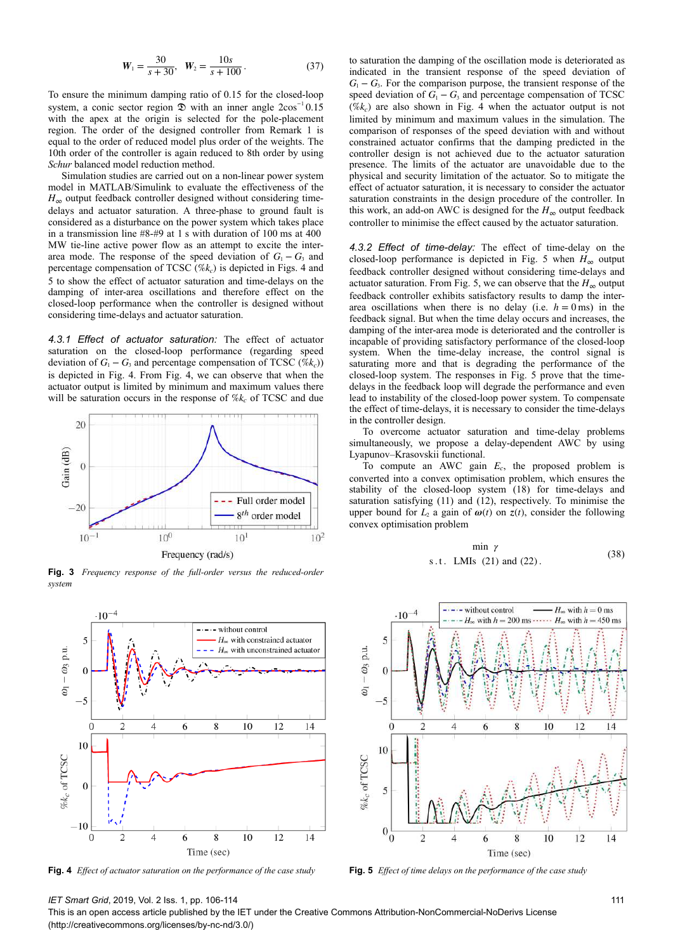$$
W_1 = \frac{30}{s + 30}, \quad W_2 = \frac{10s}{s + 100} \,. \tag{37}
$$

To ensure the minimum damping ratio of 0.15 for the closed-loop system, a conic sector region  $\mathcal{D}$  with an inner angle 2cos<sup>-1</sup> 0.15 with the apex at the origin is selected for the pole-placement region. The order of the designed controller from Remark 1 is equal to the order of reduced model plus order of the weights. The 10th order of the controller is again reduced to 8th order by using *Schur* balanced model reduction method.

Simulation studies are carried out on a non-linear power system model in MATLAB/Simulink to evaluate the effectiveness of the  $H_{\infty}$  output feedback controller designed without considering timedelays and actuator saturation. A three-phase to ground fault is considered as a disturbance on the power system which takes place in a transmission line #8-#9 at 1 s with duration of 100 ms at 400  MW tie-line active power flow as an attempt to excite the interarea mode. The response of the speed deviation of  $G_1 - G_3$  and percentage compensation of TCSC (%*k<sup>c</sup>* ) is depicted in Figs. 4 and 5 to show the effect of actuator saturation and time-delays on the damping of inter-area oscillations and therefore effect on the closed-loop performance when the controller is designed without considering time-delays and actuator saturation.

*4.3.1 Effect of actuator saturation:* The effect of actuator saturation on the closed-loop performance (regarding speed deviation of  $G_1 - G_3$  and percentage compensation of TCSC (% $k_c$ )) is depicted in Fig. 4. From Fig. 4, we can observe that when the actuator output is limited by minimum and maximum values there will be saturation occurs in the response of  $\%k_c$  of TCSC and due



**Fig. 3** *Frequency response of the full-order versus the reduced-order system*



**Fig. 4** *Effect of actuator saturation on the performance of the case study* **Fig. 5** *Effect of time delays on the performance of the case study*

to saturation the damping of the oscillation mode is deteriorated as indicated in the transient response of the speed deviation of  $G_1 - G_3$ . For the comparison purpose, the transient response of the speed deviation of  $G_1 - G_3$  and percentage compensation of TCSC  $(\%k_c)$  are also shown in Fig. 4 when the actuator output is not limited by minimum and maximum values in the simulation. The comparison of responses of the speed deviation with and without constrained actuator confirms that the damping predicted in the controller design is not achieved due to the actuator saturation presence. The limits of the actuator are unavoidable due to the physical and security limitation of the actuator. So to mitigate the effect of actuator saturation, it is necessary to consider the actuator saturation constraints in the design procedure of the controller. In this work, an add-on AWC is designed for the  $H_{\infty}$  output feedback controller to minimise the effect caused by the actuator saturation.

*4.3.2 Effect of time-delay:* The effect of time-delay on the closed-loop performance is depicted in Fig. 5 when  $H_{\infty}$  output feedback controller designed without considering time-delays and actuator saturation. From Fig. 5, we can observe that the  $H_{\infty}$  output feedback controller exhibits satisfactory results to damp the interarea oscillations when there is no delay (i.e.  $h = 0$  ms) in the feedback signal. But when the time delay occurs and increases, the damping of the inter-area mode is deteriorated and the controller is incapable of providing satisfactory performance of the closed-loop system. When the time-delay increase, the control signal is saturating more and that is degrading the performance of the closed-loop system. The responses in Fig. 5 prove that the timedelays in the feedback loop will degrade the performance and even lead to instability of the closed-loop power system. To compensate the effect of time-delays, it is necessary to consider the time-delays in the controller design.

To overcome actuator saturation and time-delay problems simultaneously, we propose a delay-dependent AWC by using Lyapunov–Krasovskii functional.

To compute an AWC gain *E<sup>c</sup>* , the proposed problem is converted into a convex optimisation problem, which ensures the stability of the closed-loop system (18) for time-delays and saturation satisfying (11) and (12), respectively. To minimise the upper bound for  $L_2$  a gain of  $\omega(t)$  on  $z(t)$ , consider the following convex optimisation problem

$$
\min \gamma
$$
  
s.t. LMIs (21) and (22). (38)



# *IET Smart Grid*, 2019, Vol. 2 Iss. 1, pp. 106-114

This is an open access article published by the IET under the Creative Commons Attribution-NonCommercial-NoDerivs License (http://creativecommons.org/licenses/by-nc-nd/3.0/)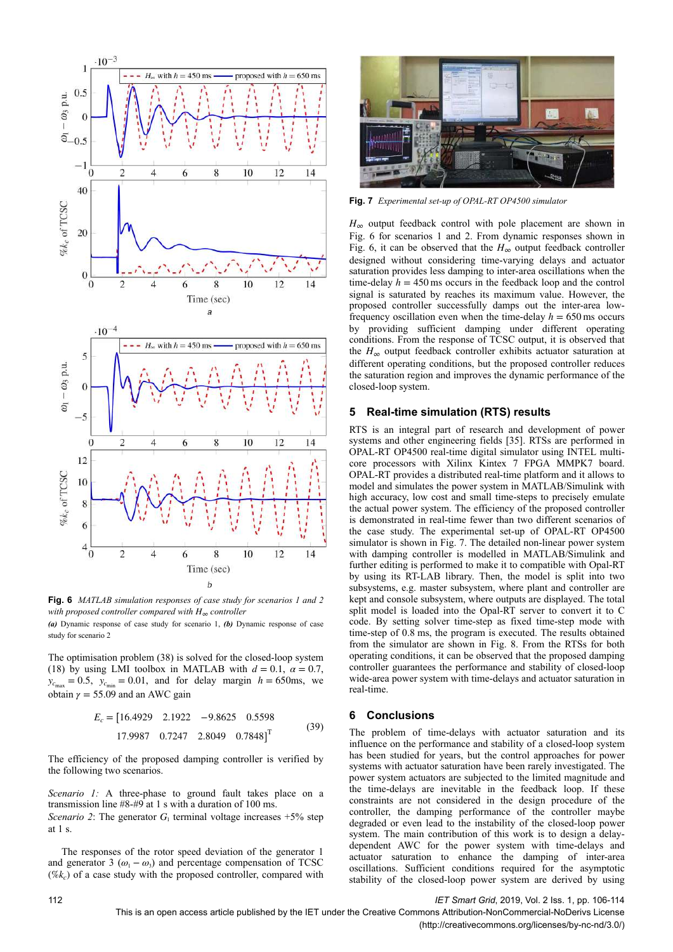

**Fig. 6** *MATLAB simulation responses of case study for scenarios 1 and 2 with proposed controller compared with H*∞ *controller*

*(a)* Dynamic response of case study for scenario 1, *(b)* Dynamic response of case study for scenario 2

The optimisation problem (38) is solved for the closed-loop system (18) by using LMI toolbox in MATLAB with  $d = 0.1$ ,  $\alpha = 0.7$ ,  $y_{c_{\text{max}}} = 0.5$ ,  $y_{c_{\text{min}}} = 0.01$ , and for delay margin  $h = 650$ ms, we obtain  $\gamma = 55.09$  and an AWC gain

$$
E_c = [16.4929 \quad 2.1922 \quad -9.8625 \quad 0.5598
$$
  
17.9987 \quad 0.7247 \quad 2.8049 \quad 0.7848]^T (39)

The efficiency of the proposed damping controller is verified by the following two scenarios.

*Scenario 1:* A three-phase to ground fault takes place on a transmission line #8-#9 at 1 s with a duration of 100 ms. *Scenario 2*: The generator  $G_1$  terminal voltage increases  $+5\%$  step at 1 s.

The responses of the rotor speed deviation of the generator 1 and generator 3 ( $\omega_1 - \omega_3$ ) and percentage compensation of TCSC  $(\%k_c)$  of a case study with the proposed controller, compared with



**Fig. 7** *Experimental set-up of OPAL-RT OP4500 simulator*

 $H_{\infty}$  output feedback control with pole placement are shown in Fig. 6 for scenarios 1 and 2. From dynamic responses shown in Fig. 6, it can be observed that the  $H_{\infty}$  output feedback controller designed without considering time-varying delays and actuator saturation provides less damping to inter-area oscillations when the time-delay  $h = 450$  ms occurs in the feedback loop and the control signal is saturated by reaches its maximum value. However, the proposed controller successfully damps out the inter-area lowfrequency oscillation even when the time-delay  $h = 650$  ms occurs by providing sufficient damping under different operating conditions. From the response of TCSC output, it is observed that the  $H_{\infty}$  output feedback controller exhibits actuator saturation at different operating conditions, but the proposed controller reduces the saturation region and improves the dynamic performance of the closed-loop system.

# **5** Real-time simulation (RTS) results

RTS is an integral part of research and development of power systems and other engineering fields [35]. RTSs are performed in OPAL-RT OP4500 real-time digital simulator using INTEL multicore processors with Xilinx Kintex 7 FPGA MMPK7 board. OPAL-RT provides a distributed real-time platform and it allows to model and simulates the power system in MATLAB/Simulink with high accuracy, low cost and small time-steps to precisely emulate the actual power system. The efficiency of the proposed controller is demonstrated in real-time fewer than two different scenarios of the case study. The experimental set-up of OPAL-RT OP4500 simulator is shown in Fig. 7. The detailed non-linear power system with damping controller is modelled in MATLAB/Simulink and further editing is performed to make it to compatible with Opal-RT by using its RT-LAB library. Then, the model is split into two subsystems, e.g. master subsystem, where plant and controller are kept and console subsystem, where outputs are displayed. The total split model is loaded into the Opal-RT server to convert it to C code. By setting solver time-step as fixed time-step mode with time-step of 0.8 ms, the program is executed. The results obtained from the simulator are shown in Fig. 8. From the RTSs for both operating conditions, it can be observed that the proposed damping controller guarantees the performance and stability of closed-loop wide-area power system with time-delays and actuator saturation in real-time.

# **6Conclusions**

The problem of time-delays with actuator saturation and its influence on the performance and stability of a closed-loop system has been studied for years, but the control approaches for power systems with actuator saturation have been rarely investigated. The power system actuators are subjected to the limited magnitude and the time-delays are inevitable in the feedback loop. If these constraints are not considered in the design procedure of the controller, the damping performance of the controller maybe degraded or even lead to the instability of the closed-loop power system. The main contribution of this work is to design a delaydependent AWC for the power system with time-delays and actuator saturation to enhance the damping of inter-area oscillations. Sufficient conditions required for the asymptotic stability of the closed-loop power system are derived by using

This is an open access article published by the IET under the Creative Commons Attribution-NonCommercial-NoDerivs License

(http://creativecommons.org/licenses/by-nc-nd/3.0/)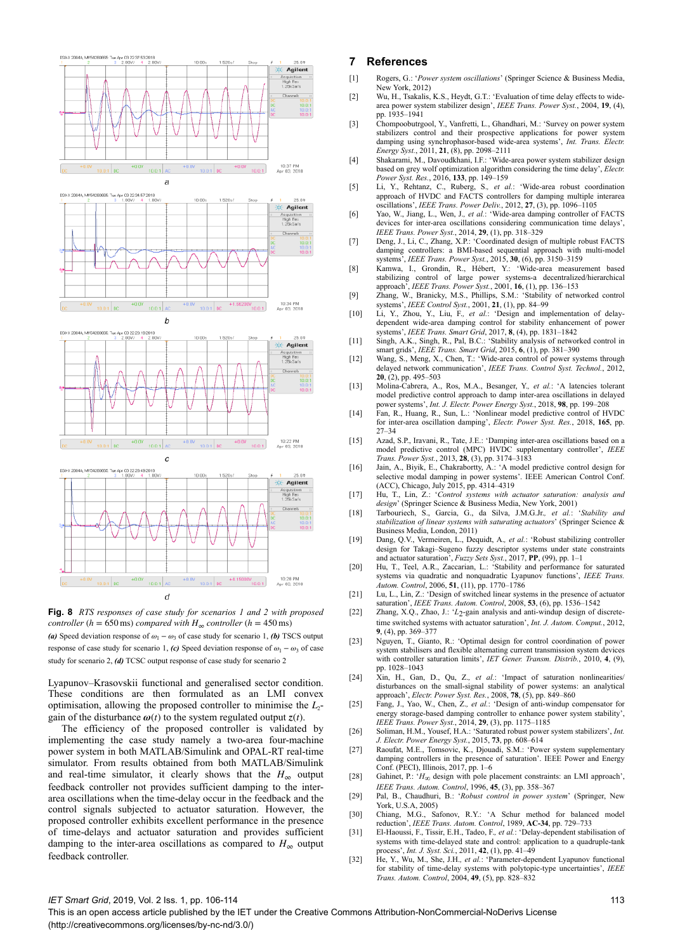

**Fig. 8** *RTS responses of case study for scenarios 1 and 2 with proposed controller* ( $h = 650 \text{ ms}$ ) *compared with*  $H_{\infty}$  *controller* ( $h = 450 \text{ ms}$ )

*(a)* Speed deviation response of  $\omega_1 - \omega_3$  of case study for scenario 1, *(b)* TSCS output response of case study for scenario 1, *(c)* Speed deviation response of  $\omega_1 - \omega_3$  of case study for scenario 2, *(d)* TCSC output response of case study for scenario 2

Lyapunov–Krasovskii functional and generalised sector condition. These conditions are then formulated as an LMI convex optimisation, allowing the proposed controller to minimise the *L*2 gain of the disturbance  $\omega(t)$  to the system regulated output  $z(t)$ .

The efficiency of the proposed controller is validated by implementing the case study namely a two-area four-machine power system in both MATLAB/Simulink and OPAL-RT real-time simulator. From results obtained from both MATLAB/Simulink and real-time simulator, it clearly shows that the  $H_{\infty}$  output feedback controller not provides sufficient damping to the interarea oscillations when the time-delay occur in the feedback and the control signals subjected to actuator saturation. However, the proposed controller exhibits excellent performance in the presence of time-delays and actuator saturation and provides sufficient damping to the inter-area oscillations as compared to  $H_{\infty}$  output feedback controller.

## **7References**

- [1] Rogers, G.: '*Power system oscillations*' (Springer Science & Business Media, New York, 2012)
- [2] Wu, H., Tsakalis, K.S., Heydt, G.T.: 'Evaluation of time delay effects to widearea power system stabilizer design', *IEEE Trans. Power Syst.*, 2004, **19**, (4), pp. 1935–1941
- [3] Chompoobutrgool, Y., Vanfretti, L., Ghandhari, M.: 'Survey on power system stabilizers control and their prospective applications for power system damping using synchrophasor-based wide-area systems', *Int. Trans. Electr. Energy Syst.*, 2011, **21**, (8), pp. 2098–2111
- [4] Shakarami, M., Davoudkhani, I.F.: 'Wide-area power system stabilizer design based on grey wolf optimization algorithm considering the time delay', *Electr. Power Syst. Res.*, 2016, **133**, pp. 149–159
- [5] Li, Y., Rehtanz, C., Ruberg, S.*, et al.*: 'Wide-area robust coordination approach of HVDC and FACTS controllers for damping multiple interarea oscillations', *IEEE Trans. Power Deliv.*, 2012, **27**, (3), pp. 1096–1105
- [6] Yao, W., Jiang, L., Wen, J.*, et al.*: 'Wide-area damping controller of FACTS devices for inter-area oscillations considering communication time delays', *IEEE Trans. Power Syst.*, 2014, **29**, (1), pp. 318–329
- [7] Deng, J., Li, C., Zhang, X.P.: 'Coordinated design of multiple robust FACTS damping controllers: a BMI-based sequential approach with multi-model systems', *IEEE Trans. Power Syst.*, 2015, **30**, (6), pp. 3150–3159
- [8] Kamwa, I., Grondin, R., Hébert, Y.: 'Wide-area measurement based stabilizing control of large power systems-a decentralized/hierarchical approach', *IEEE Trans. Power Syst.*, 2001, **16**, (1), pp. 136–153
- [9] Zhang, W., Branicky, M.S., Phillips, S.M.: 'Stability of networked control systems', *IEEE Control Syst.*, 2001, **21**, (1), pp. 84–99
- [10] Li, Y., Zhou, Y., Liu, F.*, et al.*: 'Design and implementation of delaydependent wide-area damping control for stability enhancement of power systems', *IEEE Trans. Smart Grid*, 2017, **8**, (4), pp. 1831–1842
- [11] Singh, A.K., Singh, R., Pal, B.C.: 'Stability analysis of networked control in smart grids', *IEEE Trans. Smart Grid*, 2015, **6**, (1), pp. 381–390
- [12] Wang, S., Meng, X., Chen, T.: 'Wide-area control of power systems through delayed network communication', *IEEE Trans. Control Syst. Technol.*, 2012, **20**, (2), pp. 495–503
- [13] Molina-Cabrera, A., Ros, M.A., Besanger, Y.*, et al.*: 'A latencies tolerant model predictive control approach to damp inter-area oscillations in delayed power systems', *Int. J. Electr. Power Energy Syst.*, 2018, **98**, pp. 199–208
- [14] Fan, R., Huang, R., Sun, L.: 'Nonlinear model predictive control of HVDC for inter-area oscillation damping', *Electr. Power Syst. Res.*, 2018, **165**, pp. 27–34
- [15] Azad, S.P., Iravani, R., Tate, J.E.: 'Damping inter-area oscillations based on a model predictive control (MPC) HVDC supplementary controller', *IEEE Trans. Power Syst.*, 2013, **28**, (3), pp. 3174–3183
- [16] Jain, A., Biyik, E., Chakrabortty, A.: 'A model predictive control design for selective modal damping in power systems'. IEEE American Control Conf. (ACC), Chicago, July 2015, pp. 4314–4319
- [17] Hu, T., Lin, Z.: '*Control systems with actuator saturation: analysis and design*' (Springer Science & Business Media, New York, 2001)
- [18] Tarbouriech, S., Garcia, G., da Silva, J.M.G.Jr.*, et al.*: '*Stability and stabilization of linear systems with saturating actuators*' (Springer Science & Business Media, London, 2011)
- [19] Dang, Q.V., Vermeiren, L., Dequidt, A.*, et al.*: 'Robust stabilizing controller design for Takagi–Sugeno fuzzy descriptor systems under state constraints and actuator saturation', *Fuzzy Sets Syst.*, 2017, **PP**, (99), pp. 1–1
- [20] Hu, T., Teel, A.R., Zaccarian, L.: 'Stability and performance for saturated systems via quadratic and nonquadratic Lyapunov functions', *IEEE Trans. Autom. Control*, 2006, **51**, (11), pp. 1770–1786
- [21] Lu, L., Lin, Z.: 'Design of switched linear systems in the presence of actuator saturation', *IEEE Trans. Autom. Control*, 2008, **53**, (6), pp. 1536–1542
- [22] Zhang, X.Q., Zhao, J.: '*L*2-gain analysis and anti-windup design of discretetime switched systems with actuator saturation', *Int. J. Autom. Comput.*, 2012, **9**, (4), pp. 369–377
- [23] Nguyen, T., Gianto, R.: 'Optimal design for control coordination of power system stabilisers and flexible alternating current transmission system devices with controller saturation limits', *IET Gener. Transm. Distrib.*, 2010, **4**, (9), pp. 1028–1043
- [24] Xin, H., Gan, D., Qu, Z.*, et al.*: 'Impact of saturation nonlinearities/ disturbances on the small-signal stability of power systems: an analytical approach', *Electr. Power Syst. Res.*, 2008, **78**, (5), pp. 849–860
- [25] Fang, J., Yao, W., Chen, Z.*, et al.*: 'Design of anti-windup compensator for energy storage-based damping controller to enhance power system stability', *IEEE Trans. Power Syst.*, 2014, **29**, (3), pp. 1175–1185
- [26] Soliman, H.M., Yousef, H.A.: 'Saturated robust power system stabilizers', *Int. J. Electr. Power Energy Syst.*, 2015, **73**, pp. 608–614
- [27] Raoufat, M.E., Tomsovic, K., Djouadi, S.M.: 'Power system supplementary damping controllers in the presence of saturation'. IEEE Power and Energy Conf. (PECI), Illinois, 2017, pp. 1–6
- [28] Gahinet, P.: '*H*∞ design with pole placement constraints: an LMI approach', *IEEE Trans. Autom. Control*, 1996, **45**, (3), pp. 358–367
- [29] Pal, B., Chaudhuri, B.: '*Robust control in power system*' (Springer, New York, U.S.A, 2005)
- [30] Chiang, M.G., Safonov, R.Y.: 'A Schur method for balanced model reduction', *IEEE Trans. Autom. Control*, 1989, **AC-34**, pp. 729–733
- [31] El-Haoussi, F., Tissir, E.H., Tadeo, F.*, et al.*: 'Delay-dependent stabilisation of systems with time-delayed state and control: application to a quadruple-tank process', *Int. J. Syst. Sci.*, 2011, **42**, (1), pp. 41–49
- [32] He, Y., Wu, M., She, J.H.*, et al.*: 'Parameter-dependent Lyapunov functional for stability of time-delay systems with polytopic-type uncertainties', *IEEE Trans. Autom. Control*, 2004, **49**, (5), pp. 828–832